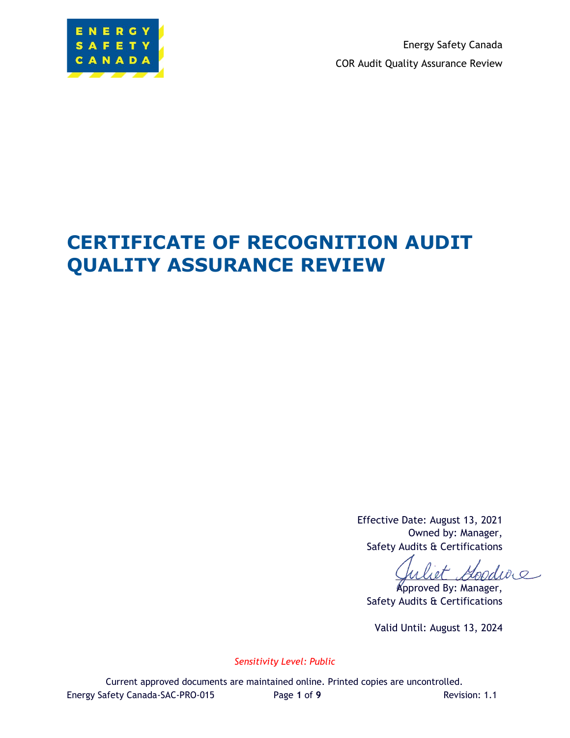

Energy Safety Canada COR Audit Quality Assurance Review

# **CERTIFICATE OF RECOGNITION AUDIT QUALITY ASSURANCE REVIEW**

Effective Date: August 13, 2021 Owned by: Manager, Safety Audits & Certifications

 $dD_0$ 

Approved By: Manager, Safety Audits & Certifications

Valid Until: August 13, 2024

*Sensitivity Level: Public*

Current approved documents are maintained online. Printed copies are uncontrolled. Energy Safety Canada-SAC-PRO-015 Page **1** of **9** Revision: 1.1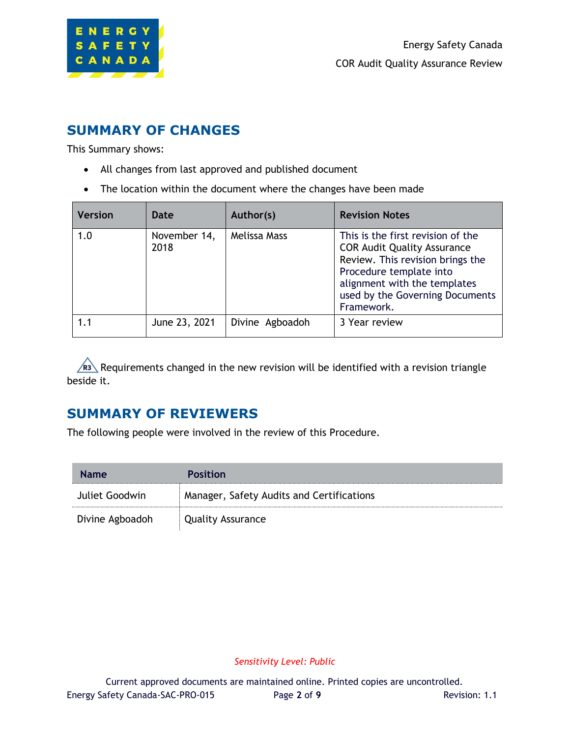

### **SUMMARY OF CHANGES**

This Summary shows:

- All changes from last approved and published document
- The location within the document where the changes have been made

| <b>Version</b> | Date                 | Author(s)       | <b>Revision Notes</b>                                                                                                                                                                                                   |
|----------------|----------------------|-----------------|-------------------------------------------------------------------------------------------------------------------------------------------------------------------------------------------------------------------------|
| 1.0            | November 14,<br>2018 | Melissa Mass    | This is the first revision of the<br><b>COR Audit Quality Assurance</b><br>Review. This revision brings the<br>Procedure template into<br>alignment with the templates<br>used by the Governing Documents<br>Framework. |
| 1.1            | June 23, 2021        | Divine Agboadoh | 3 Year review                                                                                                                                                                                                           |

Requirements changed in the new revision will be identified with a revision triangle **R3**beside it.

# **SUMMARY OF REVIEWERS**

The following people were involved in the review of this Procedure.

| <b>Name</b>     | <b>Position</b>                           |
|-----------------|-------------------------------------------|
| Juliet Goodwin  | Manager, Safety Audits and Certifications |
| Divine Agboadoh | Quality Assurance                         |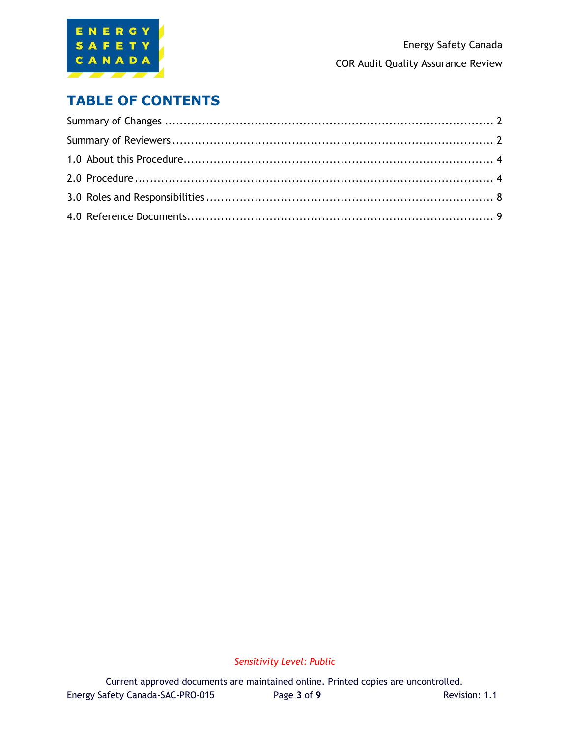

### **TABLE OF CONTENTS**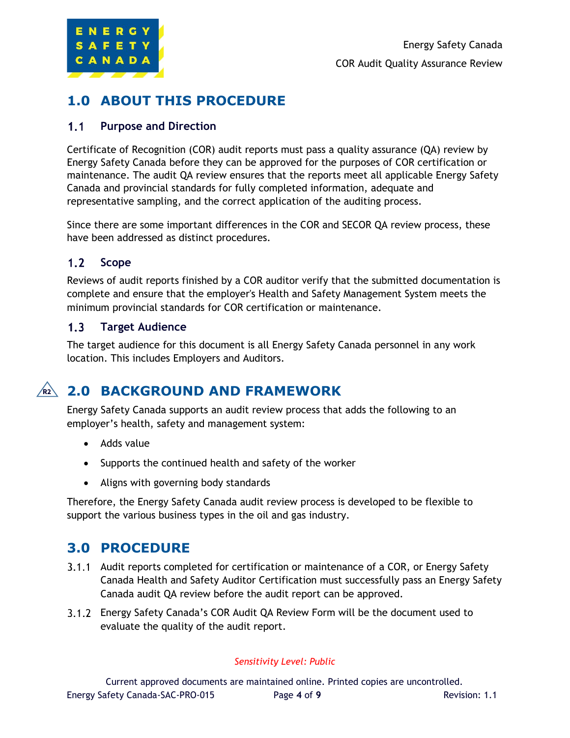

# **1.0 ABOUT THIS PROCEDURE**

#### $1.1$ **Purpose and Direction**

Certificate of Recognition (COR) audit reports must pass a quality assurance (QA) review by Energy Safety Canada before they can be approved for the purposes of COR certification or maintenance. The audit QA review ensures that the reports meet all applicable Energy Safety Canada and provincial standards for fully completed information, adequate and representative sampling, and the correct application of the auditing process.

Since there are some important differences in the COR and SECOR QA review process, these have been addressed as distinct procedures.

#### $1.2$ **Scope**

Reviews of audit reports finished by a COR auditor verify that the submitted documentation is complete and ensure that the employer's Health and Safety Management System meets the minimum provincial standards for COR certification or maintenance.

#### $1.3<sub>1</sub>$ **Target Audience**

The target audience for this document is all Energy Safety Canada personnel in any work location. This includes Employers and Auditors.

# **2.0 BACKGROUND AND FRAMEWORK R2**

Energy Safety Canada supports an audit review process that adds the following to an employer's health, safety and management system:

- Adds value
- Supports the continued health and safety of the worker
- Aligns with governing body standards

Therefore, the Energy Safety Canada audit review process is developed to be flexible to support the various business types in the oil and gas industry.

#### **3.0 PROCEDURE**

- 3.1.1 Audit reports completed for certification or maintenance of a COR, or Energy Safety Canada Health and Safety Auditor Certification must successfully pass an Energy Safety Canada audit QA review before the audit report can be approved.
- Energy Safety Canada's COR Audit QA Review Form will be the document used to evaluate the quality of the audit report.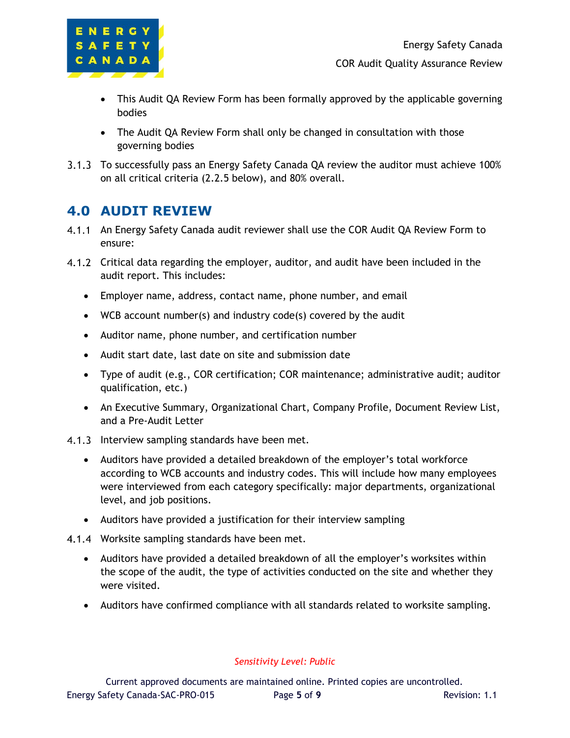

- This Audit QA Review Form has been formally approved by the applicable governing bodies
- The Audit QA Review Form shall only be changed in consultation with those governing bodies
- 3.1.3 To successfully pass an Energy Safety Canada QA review the auditor must achieve 100% on all critical criteria (2.2.5 below), and 80% overall.

### **4.0 AUDIT REVIEW**

- 4.1.1 An Energy Safety Canada audit reviewer shall use the COR Audit QA Review Form to ensure:
- 4.1.2 Critical data regarding the employer, auditor, and audit have been included in the audit report. This includes:
	- Employer name, address, contact name, phone number, and email
	- WCB account number(s) and industry code(s) covered by the audit
	- Auditor name, phone number, and certification number
	- Audit start date, last date on site and submission date
	- Type of audit (e.g., COR certification; COR maintenance; administrative audit; auditor qualification, etc.)
	- An Executive Summary, Organizational Chart, Company Profile, Document Review List, and a Pre-Audit Letter
- 4.1.3 Interview sampling standards have been met.
	- Auditors have provided a detailed breakdown of the employer's total workforce according to WCB accounts and industry codes. This will include how many employees were interviewed from each category specifically: major departments, organizational level, and job positions.
	- Auditors have provided a justification for their interview sampling
- 4.1.4 Worksite sampling standards have been met.
	- Auditors have provided a detailed breakdown of all the employer's worksites within the scope of the audit, the type of activities conducted on the site and whether they were visited.
	- Auditors have confirmed compliance with all standards related to worksite sampling.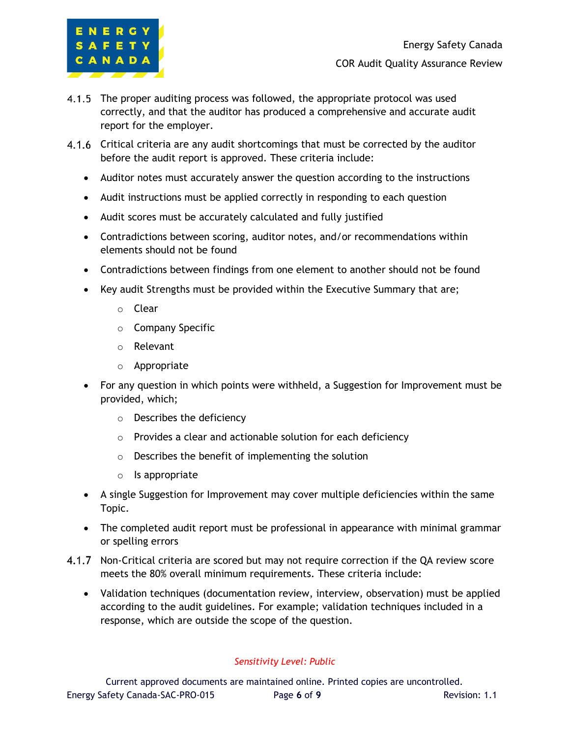

- 4.1.5 The proper auditing process was followed, the appropriate protocol was used correctly, and that the auditor has produced a comprehensive and accurate audit report for the employer.
- 4.1.6 Critical criteria are any audit shortcomings that must be corrected by the auditor before the audit report is approved. These criteria include:
	- Auditor notes must accurately answer the question according to the instructions
	- Audit instructions must be applied correctly in responding to each question
	- Audit scores must be accurately calculated and fully justified
	- Contradictions between scoring, auditor notes, and/or recommendations within elements should not be found
	- Contradictions between findings from one element to another should not be found
	- Key audit Strengths must be provided within the Executive Summary that are;
		- o Clear
		- o Company Specific
		- o Relevant
		- o Appropriate
	- For any question in which points were withheld, a Suggestion for Improvement must be provided, which;
		- o Describes the deficiency
		- o Provides a clear and actionable solution for each deficiency
		- o Describes the benefit of implementing the solution
		- o Is appropriate
	- A single Suggestion for Improvement may cover multiple deficiencies within the same Topic.
	- The completed audit report must be professional in appearance with minimal grammar or spelling errors
- 4.1.7 Non-Critical criteria are scored but may not require correction if the QA review score meets the 80% overall minimum requirements. These criteria include:
	- Validation techniques (documentation review, interview, observation) must be applied according to the audit guidelines. For example; validation techniques included in a response, which are outside the scope of the question.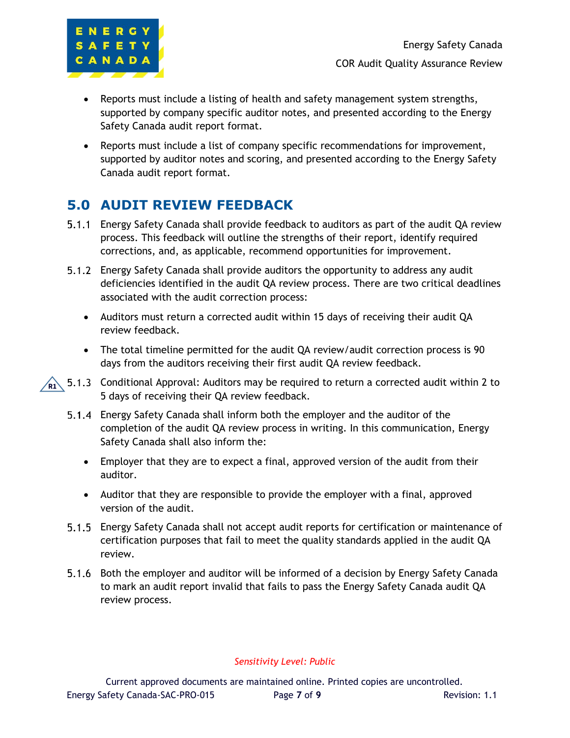

- Reports must include a listing of health and safety management system strengths, supported by company specific auditor notes, and presented according to the Energy Safety Canada audit report format.
- Reports must include a list of company specific recommendations for improvement, supported by auditor notes and scoring, and presented according to the Energy Safety Canada audit report format.

# **5.0 AUDIT REVIEW FEEDBACK**

- Energy Safety Canada shall provide feedback to auditors as part of the audit QA review process. This feedback will outline the strengths of their report, identify required corrections, and, as applicable, recommend opportunities for improvement.
- Energy Safety Canada shall provide auditors the opportunity to address any audit deficiencies identified in the audit QA review process. There are two critical deadlines associated with the audit correction process:
	- Auditors must return a corrected audit within 15 days of receiving their audit QA review feedback.
	- The total timeline permitted for the audit QA review/audit correction process is 90 days from the auditors receiving their first audit QA review feedback.
- $\hat{R_1}$  5.1.3 Conditional Approval: Auditors may be required to return a corrected audit within 2 to 5 days of receiving their QA review feedback.
	- Energy Safety Canada shall inform both the employer and the auditor of the completion of the audit QA review process in writing. In this communication, Energy Safety Canada shall also inform the:
		- Employer that they are to expect a final, approved version of the audit from their auditor.
		- Auditor that they are responsible to provide the employer with a final, approved version of the audit.
	- Energy Safety Canada shall not accept audit reports for certification or maintenance of certification purposes that fail to meet the quality standards applied in the audit QA review.
	- Both the employer and auditor will be informed of a decision by Energy Safety Canada to mark an audit report invalid that fails to pass the Energy Safety Canada audit QA review process.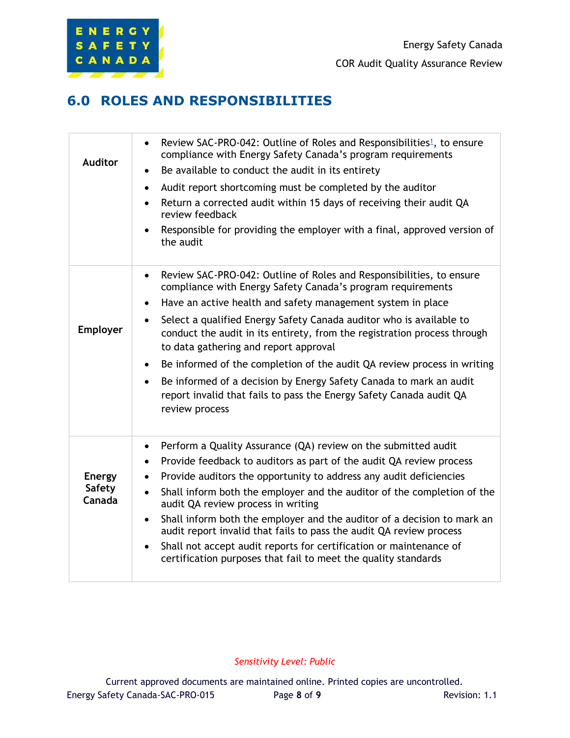

### **6.0 ROLES AND RESPONSIBILITIES**

| <b>Auditor</b>                           | Review SAC-PRO-042: Outline of Roles and Responsibilities <sup>1</sup> , to ensure<br>$\bullet$<br>compliance with Energy Safety Canada's program requirements<br>Be available to conduct the audit in its entirety<br>$\bullet$<br>Audit report shortcoming must be completed by the auditor<br>$\bullet$<br>Return a corrected audit within 15 days of receiving their audit QA<br>$\bullet$<br>review feedback<br>Responsible for providing the employer with a final, approved version of<br>the audit                                                                                                                                                                                                |
|------------------------------------------|-----------------------------------------------------------------------------------------------------------------------------------------------------------------------------------------------------------------------------------------------------------------------------------------------------------------------------------------------------------------------------------------------------------------------------------------------------------------------------------------------------------------------------------------------------------------------------------------------------------------------------------------------------------------------------------------------------------|
| Employer                                 | Review SAC-PRO-042: Outline of Roles and Responsibilities, to ensure<br>$\bullet$<br>compliance with Energy Safety Canada's program requirements<br>Have an active health and safety management system in place<br>$\bullet$<br>Select a qualified Energy Safety Canada auditor who is available to<br>$\bullet$<br>conduct the audit in its entirety, from the registration process through<br>to data gathering and report approval<br>Be informed of the completion of the audit QA review process in writing<br>$\bullet$<br>Be informed of a decision by Energy Safety Canada to mark an audit<br>$\bullet$<br>report invalid that fails to pass the Energy Safety Canada audit QA<br>review process |
| <b>Energy</b><br><b>Safety</b><br>Canada | Perform a Quality Assurance (QA) review on the submitted audit<br>٠<br>Provide feedback to auditors as part of the audit QA review process<br>$\bullet$<br>Provide auditors the opportunity to address any audit deficiencies<br>$\bullet$<br>Shall inform both the employer and the auditor of the completion of the<br>$\bullet$<br>audit QA review process in writing<br>Shall inform both the employer and the auditor of a decision to mark an<br>$\bullet$<br>audit report invalid that fails to pass the audit QA review process<br>Shall not accept audit reports for certification or maintenance of<br>$\bullet$<br>certification purposes that fail to meet the quality standards              |